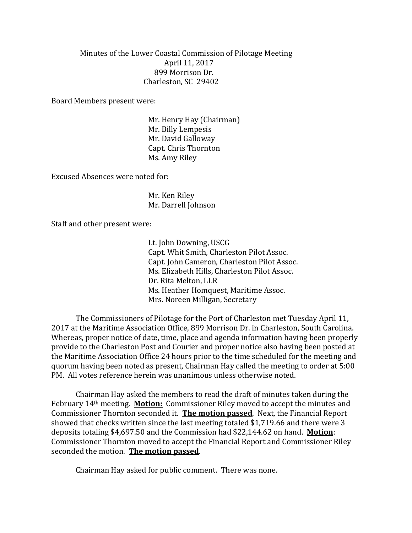Minutes of the Lower Coastal Commission of Pilotage Meeting April 11, 2017 899 Morrison Dr. Charleston, SC 29402

Board Members present were:

Mr. Henry Hay (Chairman) Mr. Billy Lempesis Mr. David Galloway Capt. Chris Thornton Ms. Amy Riley

Excused Absences were noted for:

Mr. Ken Riley Mr. Darrell Johnson

Staff and other present were:

Lt. John Downing, USCG Capt. Whit Smith, Charleston Pilot Assoc. Capt. John Cameron, Charleston Pilot Assoc. Ms. Elizabeth Hills, Charleston Pilot Assoc. Dr. Rita Melton, LLR Ms. Heather Homquest, Maritime Assoc. Mrs. Noreen Milligan, Secretary

The Commissioners of Pilotage for the Port of Charleston met Tuesday April 11, 2017 at the Maritime Association Office, 899 Morrison Dr. in Charleston, South Carolina. Whereas, proper notice of date, time, place and agenda information having been properly provide to the Charleston Post and Courier and proper notice also having been posted at the Maritime Association Office 24 hours prior to the time scheduled for the meeting and quorum having been noted as present, Chairman Hay called the meeting to order at 5:00 PM. All votes reference herein was unanimous unless otherwise noted.

Chairman Hay asked the members to read the draft of minutes taken during the February 14th meeting. **Motion:** Commissioner Riley moved to accept the minutes and Commissioner Thornton seconded it. **The motion passed**. Next, the Financial Report showed that checks written since the last meeting totaled \$1,719.66 and there were 3 deposits totaling \$4,697.50 and the Commission had \$22,144.62 on hand. **Motion**: Commissioner Thornton moved to accept the Financial Report and Commissioner Riley seconded the motion. **The motion passed**.

Chairman Hay asked for public comment. There was none.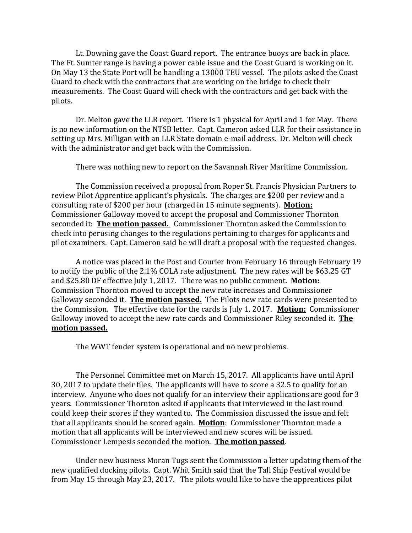Lt. Downing gave the Coast Guard report. The entrance buoys are back in place. The Ft. Sumter range is having a power cable issue and the Coast Guard is working on it. On May 13 the State Port will be handling a 13000 TEU vessel. The pilots asked the Coast Guard to check with the contractors that are working on the bridge to check their measurements. The Coast Guard will check with the contractors and get back with the pilots.

Dr. Melton gave the LLR report. There is 1 physical for April and 1 for May. There is no new information on the NTSB letter. Capt. Cameron asked LLR for their assistance in setting up Mrs. Milligan with an LLR State domain e-mail address. Dr. Melton will check with the administrator and get back with the Commission.

There was nothing new to report on the Savannah River Maritime Commission.

The Commission received a proposal from Roper St. Francis Physician Partners to review Pilot Apprentice applicant's physicals. The charges are \$200 per review and a consulting rate of \$200 per hour (charged in 15 minute segments). **Motion:** Commissioner Galloway moved to accept the proposal and Commissioner Thornton seconded it: **The motion passed.** Commissioner Thornton asked the Commission to check into perusing changes to the regulations pertaining to charges for applicants and pilot examiners. Capt. Cameron said he will draft a proposal with the requested changes.

A notice was placed in the Post and Courier from February 16 through February 19 to notify the public of the 2.1% COLA rate adjustment. The new rates will be \$63.25 GT and \$25.80 DF effective July 1, 2017. There was no public comment. **Motion:** Commission Thornton moved to accept the new rate increases and Commissioner Galloway seconded it. **The motion passed.** The Pilots new rate cards were presented to the Commission. The effective date for the cards is July 1, 2017. **Motion:** Commissioner Galloway moved to accept the new rate cards and Commissioner Riley seconded it. **The motion passed.** 

The WWT fender system is operational and no new problems.

The Personnel Committee met on March 15, 2017. All applicants have until April 30, 2017 to update their files. The applicants will have to score a 32.5 to qualify for an interview. Anyone who does not qualify for an interview their applications are good for 3 years. Commissioner Thornton asked if applicants that interviewed in the last round could keep their scores if they wanted to. The Commission discussed the issue and felt that all applicants should be scored again. **Motion**: Commissioner Thornton made a motion that all applicants will be interviewed and new scores will be issued. Commissioner Lempesis seconded the motion. **The motion passed**.

Under new business Moran Tugs sent the Commission a letter updating them of the new qualified docking pilots. Capt. Whit Smith said that the Tall Ship Festival would be from May 15 through May 23, 2017. The pilots would like to have the apprentices pilot